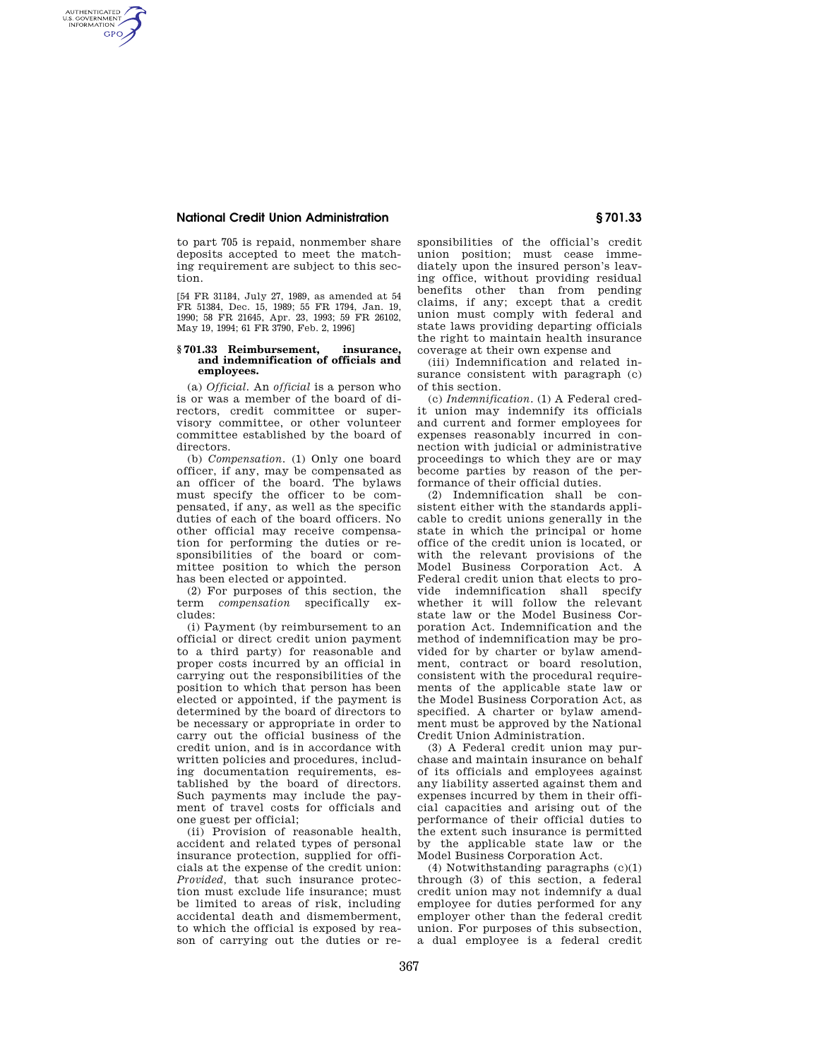## **National Credit Union Administration § 701.33**

AUTHENTICATED<br>U.S. GOVERNMENT<br>INFORMATION **GPO** 

> to part 705 is repaid, nonmember share deposits accepted to meet the matching requirement are subject to this section.

> [54 FR 31184, July 27, 1989, as amended at 54 FR 51384, Dec. 15, 1989; 55 FR 1794, Jan. 19, 1990; 58 FR 21645, Apr. 23, 1993; 59 FR 26102, May 19, 1994; 61 FR 3790, Feb. 2, 1996]

## **§ 701.33 Reimbursement, insurance, and indemnification of officials and employees.**

(a) *Official.* An *official* is a person who is or was a member of the board of directors, credit committee or supervisory committee, or other volunteer committee established by the board of directors.

(b) *Compensation.* (1) Only one board officer, if any, may be compensated as an officer of the board. The bylaws must specify the officer to be compensated, if any, as well as the specific duties of each of the board officers. No other official may receive compensation for performing the duties or responsibilities of the board or committee position to which the person has been elected or appointed.

(2) For purposes of this section, the term *compensation* specifically excludes:

(i) Payment (by reimbursement to an official or direct credit union payment to a third party) for reasonable and proper costs incurred by an official in carrying out the responsibilities of the position to which that person has been elected or appointed, if the payment is determined by the board of directors to be necessary or appropriate in order to carry out the official business of the credit union, and is in accordance with written policies and procedures, including documentation requirements, established by the board of directors. Such payments may include the payment of travel costs for officials and one guest per official;

(ii) Provision of reasonable health, accident and related types of personal insurance protection, supplied for officials at the expense of the credit union: *Provided,* that such insurance protection must exclude life insurance; must be limited to areas of risk, including accidental death and dismemberment, to which the official is exposed by reason of carrying out the duties or responsibilities of the official's credit union position; must cease immediately upon the insured person's leaving office, without providing residual benefits other than from pending claims, if any; except that a credit union must comply with federal and state laws providing departing officials the right to maintain health insurance coverage at their own expense and

(iii) Indemnification and related insurance consistent with paragraph (c) of this section.

(c) *Indemnification.* (1) A Federal credit union may indemnify its officials and current and former employees for expenses reasonably incurred in connection with judicial or administrative proceedings to which they are or may become parties by reason of the performance of their official duties.

(2) Indemnification shall be consistent either with the standards applicable to credit unions generally in the state in which the principal or home office of the credit union is located, or with the relevant provisions of the Model Business Corporation Act. A Federal credit union that elects to provide indemnification shall specify whether it will follow the relevant state law or the Model Business Corporation Act. Indemnification and the method of indemnification may be provided for by charter or bylaw amendment, contract or board resolution, consistent with the procedural requirements of the applicable state law or the Model Business Corporation Act, as specified. A charter or bylaw amendment must be approved by the National Credit Union Administration.

(3) A Federal credit union may purchase and maintain insurance on behalf of its officials and employees against any liability asserted against them and expenses incurred by them in their official capacities and arising out of the performance of their official duties to the extent such insurance is permitted by the applicable state law or the Model Business Corporation Act.

(4) Notwithstanding paragraphs (c)(1) through (3) of this section, a federal credit union may not indemnify a dual employee for duties performed for any employer other than the federal credit union. For purposes of this subsection, a dual employee is a federal credit